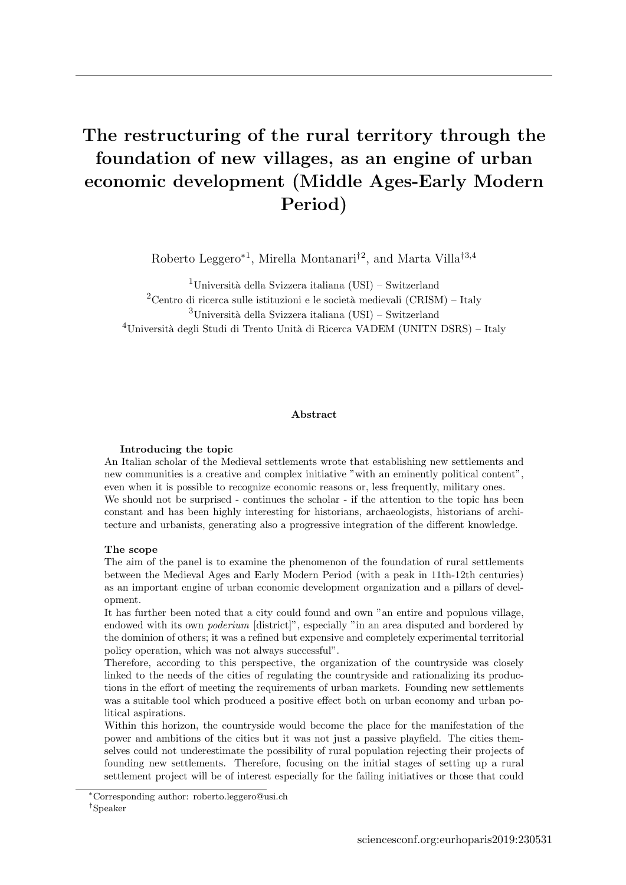# <span id="page-0-0"></span>The restructuring of the rural territory through the foundation of new villages, as an engine of urban economic development (Middle Ages-Early Modern Period)

Roberto Leggero<sup>\*1</sup>, Mirella Montanari<sup>[†](#page-0-0)2</sup>, and Marta Villa<sup>†3,4</sup>

<sup>1</sup>Università della Svizzera italiana (USI) – Switzerland <sup>2</sup>Centro di ricerca sulle istituzioni e le società medievali (CRISM) – Italy  $3$ Università della Svizzera italiana (USI) – Switzerland  $^{4}$ Università degli Studi di Trento Unità di Ricerca VADEM (UNITN DSRS) – Italy

## Abstract

## Introducing the topic

An Italian scholar of the Medieval settlements wrote that establishing new settlements and new communities is a creative and complex initiative "with an eminently political content", even when it is possible to recognize economic reasons or, less frequently, military ones. We should not be surprised - continues the scholar - if the attention to the topic has been constant and has been highly interesting for historians, archaeologists, historians of architecture and urbanists, generating also a progressive integration of the different knowledge.

#### The scope

The aim of the panel is to examine the phenomenon of the foundation of rural settlements between the Medieval Ages and Early Modern Period (with a peak in 11th-12th centuries) as an important engine of urban economic development organization and a pillars of development.

It has further been noted that a city could found and own "an entire and populous village, endowed with its own poderium [district]", especially "in an area disputed and bordered by the dominion of others; it was a refined but expensive and completely experimental territorial policy operation, which was not always successful".

Therefore, according to this perspective, the organization of the countryside was closely linked to the needs of the cities of regulating the countryside and rationalizing its productions in the effort of meeting the requirements of urban markets. Founding new settlements was a suitable tool which produced a positive effect both on urban economy and urban political aspirations.

Within this horizon, the countryside would become the place for the manifestation of the power and ambitions of the cities but it was not just a passive playfield. The cities themselves could not underestimate the possibility of rural population rejecting their projects of founding new settlements. Therefore, focusing on the initial stages of setting up a rural settlement project will be of interest especially for the failing initiatives or those that could

<sup>∗</sup>Corresponding author: [roberto.leggero@usi.ch](mailto:roberto.leggero@usi.ch)

<sup>†</sup>Speaker